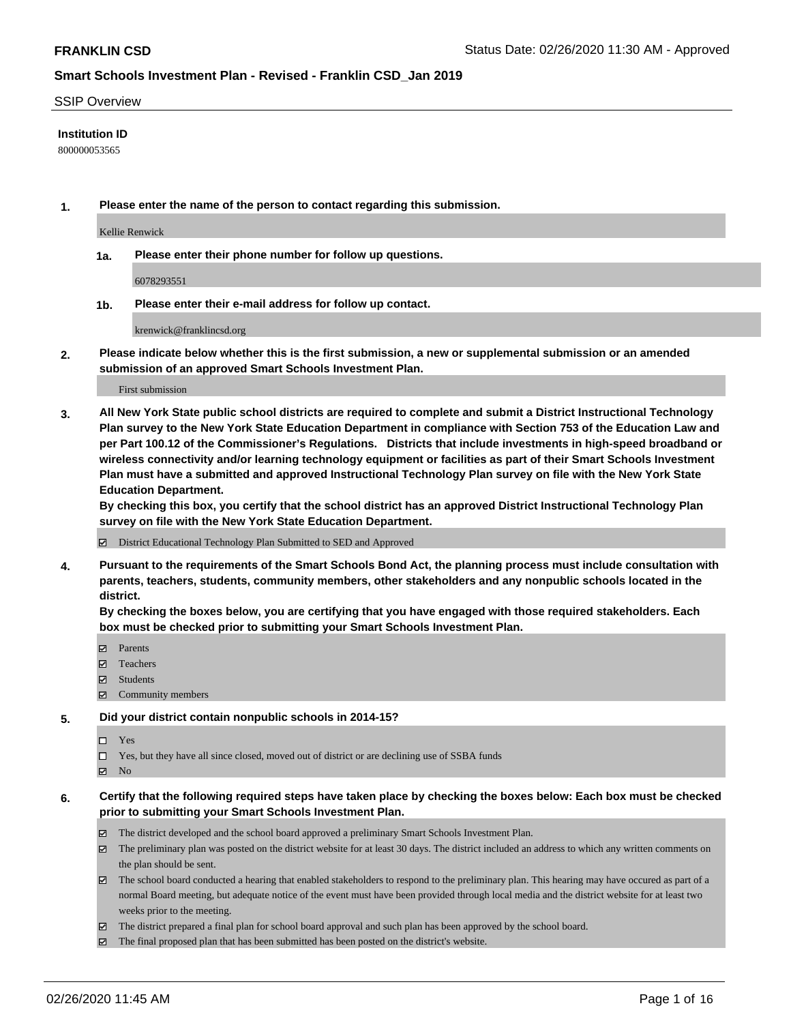#### SSIP Overview

### **Institution ID**

800000053565

**1. Please enter the name of the person to contact regarding this submission.**

Kellie Renwick

**1a. Please enter their phone number for follow up questions.**

6078293551

**1b. Please enter their e-mail address for follow up contact.**

krenwick@franklincsd.org

**2. Please indicate below whether this is the first submission, a new or supplemental submission or an amended submission of an approved Smart Schools Investment Plan.**

### First submission

**3. All New York State public school districts are required to complete and submit a District Instructional Technology Plan survey to the New York State Education Department in compliance with Section 753 of the Education Law and per Part 100.12 of the Commissioner's Regulations. Districts that include investments in high-speed broadband or wireless connectivity and/or learning technology equipment or facilities as part of their Smart Schools Investment Plan must have a submitted and approved Instructional Technology Plan survey on file with the New York State Education Department.** 

**By checking this box, you certify that the school district has an approved District Instructional Technology Plan survey on file with the New York State Education Department.**

District Educational Technology Plan Submitted to SED and Approved

**4. Pursuant to the requirements of the Smart Schools Bond Act, the planning process must include consultation with parents, teachers, students, community members, other stakeholders and any nonpublic schools located in the district.** 

**By checking the boxes below, you are certifying that you have engaged with those required stakeholders. Each box must be checked prior to submitting your Smart Schools Investment Plan.**

- **マ** Parents
- Teachers
- Students
- Community members

### **5. Did your district contain nonpublic schools in 2014-15?**

 $\neg$  Yes

Yes, but they have all since closed, moved out of district or are declining use of SSBA funds

**Z** No

### **6. Certify that the following required steps have taken place by checking the boxes below: Each box must be checked prior to submitting your Smart Schools Investment Plan.**

- The district developed and the school board approved a preliminary Smart Schools Investment Plan.
- $\boxtimes$  The preliminary plan was posted on the district website for at least 30 days. The district included an address to which any written comments on the plan should be sent.
- $\boxtimes$  The school board conducted a hearing that enabled stakeholders to respond to the preliminary plan. This hearing may have occured as part of a normal Board meeting, but adequate notice of the event must have been provided through local media and the district website for at least two weeks prior to the meeting.
- The district prepared a final plan for school board approval and such plan has been approved by the school board.
- The final proposed plan that has been submitted has been posted on the district's website.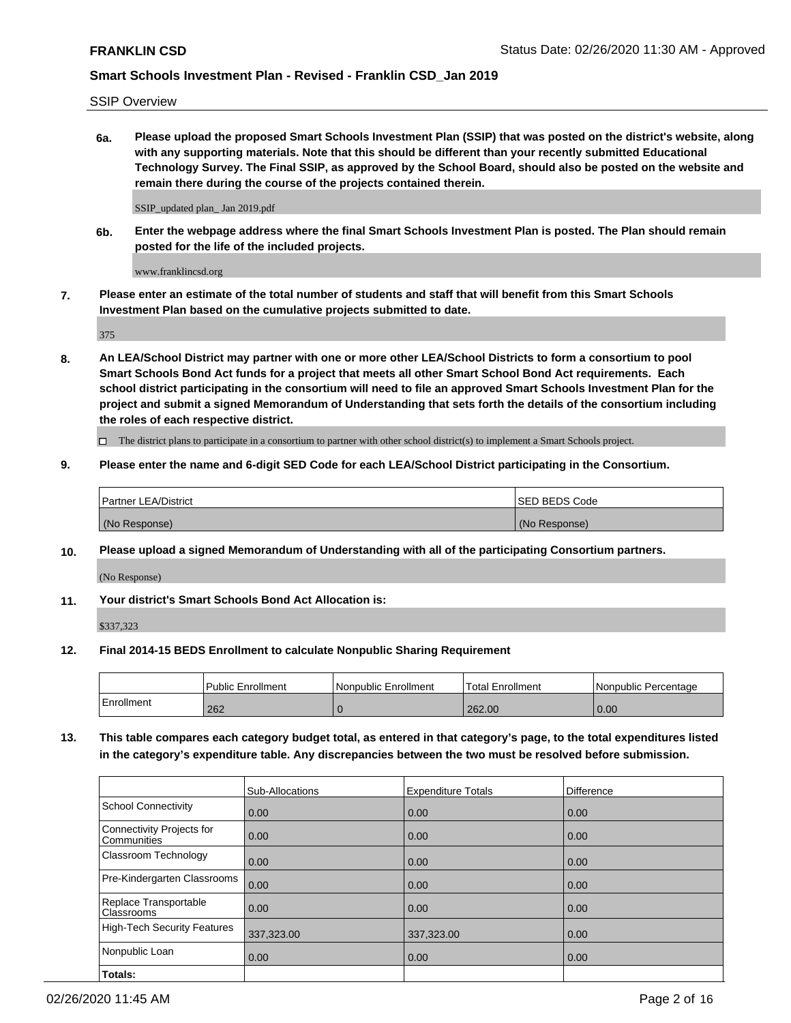SSIP Overview

**6a. Please upload the proposed Smart Schools Investment Plan (SSIP) that was posted on the district's website, along with any supporting materials. Note that this should be different than your recently submitted Educational Technology Survey. The Final SSIP, as approved by the School Board, should also be posted on the website and remain there during the course of the projects contained therein.**

SSIP\_updated plan\_ Jan 2019.pdf

**6b. Enter the webpage address where the final Smart Schools Investment Plan is posted. The Plan should remain posted for the life of the included projects.**

www.franklincsd.org

**7. Please enter an estimate of the total number of students and staff that will benefit from this Smart Schools Investment Plan based on the cumulative projects submitted to date.**

375

**8. An LEA/School District may partner with one or more other LEA/School Districts to form a consortium to pool Smart Schools Bond Act funds for a project that meets all other Smart School Bond Act requirements. Each school district participating in the consortium will need to file an approved Smart Schools Investment Plan for the project and submit a signed Memorandum of Understanding that sets forth the details of the consortium including the roles of each respective district.**

 $\Box$  The district plans to participate in a consortium to partner with other school district(s) to implement a Smart Schools project.

## **9. Please enter the name and 6-digit SED Code for each LEA/School District participating in the Consortium.**

| Partner LEA/District | <b>ISED BEDS Code</b> |
|----------------------|-----------------------|
| (No Response)        | (No Response)         |

## **10. Please upload a signed Memorandum of Understanding with all of the participating Consortium partners.**

(No Response)

**11. Your district's Smart Schools Bond Act Allocation is:**

\$337,323

#### **12. Final 2014-15 BEDS Enrollment to calculate Nonpublic Sharing Requirement**

|            | Public Enrollment | Nonpublic Enrollment | Total Enrollment | I Nonpublic Percentage |
|------------|-------------------|----------------------|------------------|------------------------|
| Enrollment | 262               |                      | 262.00           | 0.00                   |

**13. This table compares each category budget total, as entered in that category's page, to the total expenditures listed in the category's expenditure table. Any discrepancies between the two must be resolved before submission.**

|                                          | Sub-Allocations | <b>Expenditure Totals</b> | <b>Difference</b> |
|------------------------------------------|-----------------|---------------------------|-------------------|
| <b>School Connectivity</b>               | 0.00            | 0.00                      | 0.00              |
| Connectivity Projects for<br>Communities | 0.00            | 0.00                      | 0.00              |
| Classroom Technology                     | 0.00            | 0.00                      | 0.00              |
| Pre-Kindergarten Classrooms              | 0.00            | 0.00                      | 0.00              |
| Replace Transportable<br>Classrooms      | 0.00            | 0.00                      | 0.00              |
| High-Tech Security Features              | 337,323.00      | 337,323.00                | 0.00              |
| Nonpublic Loan                           | 0.00            | 0.00                      | 0.00              |
| Totals:                                  |                 |                           |                   |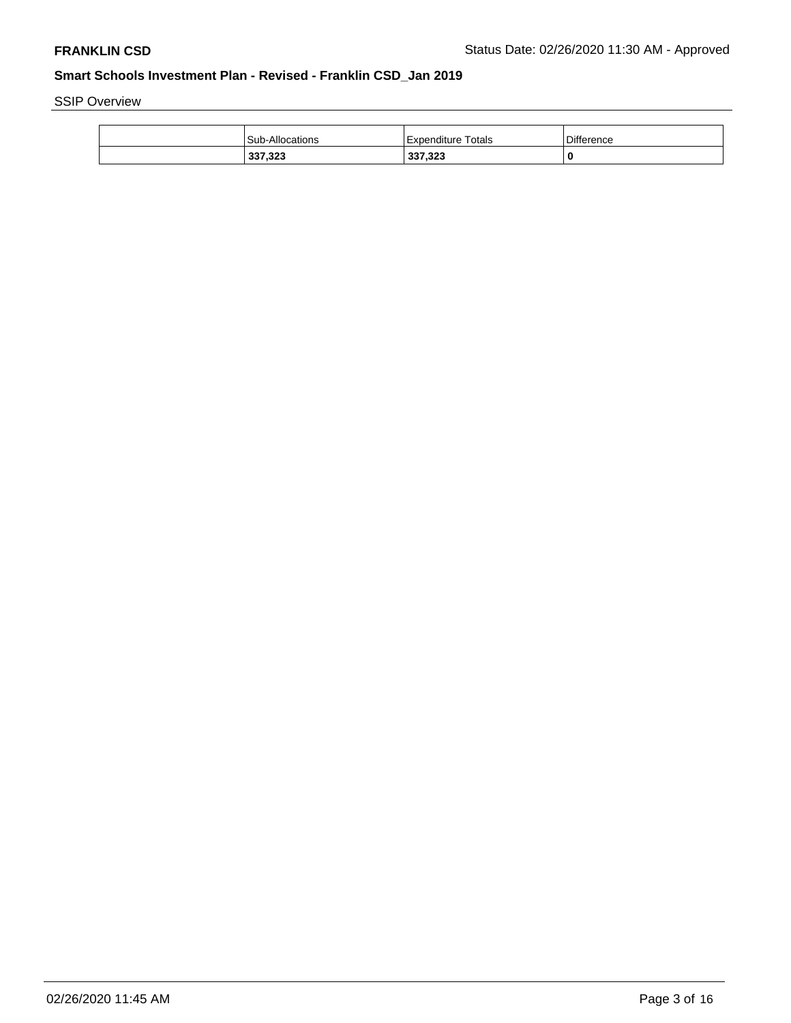SSIP Overview

| <b>Sub-Allocations</b> | Expenditure Totals | Difference |
|------------------------|--------------------|------------|
| 337,323                | 337,323            | 0          |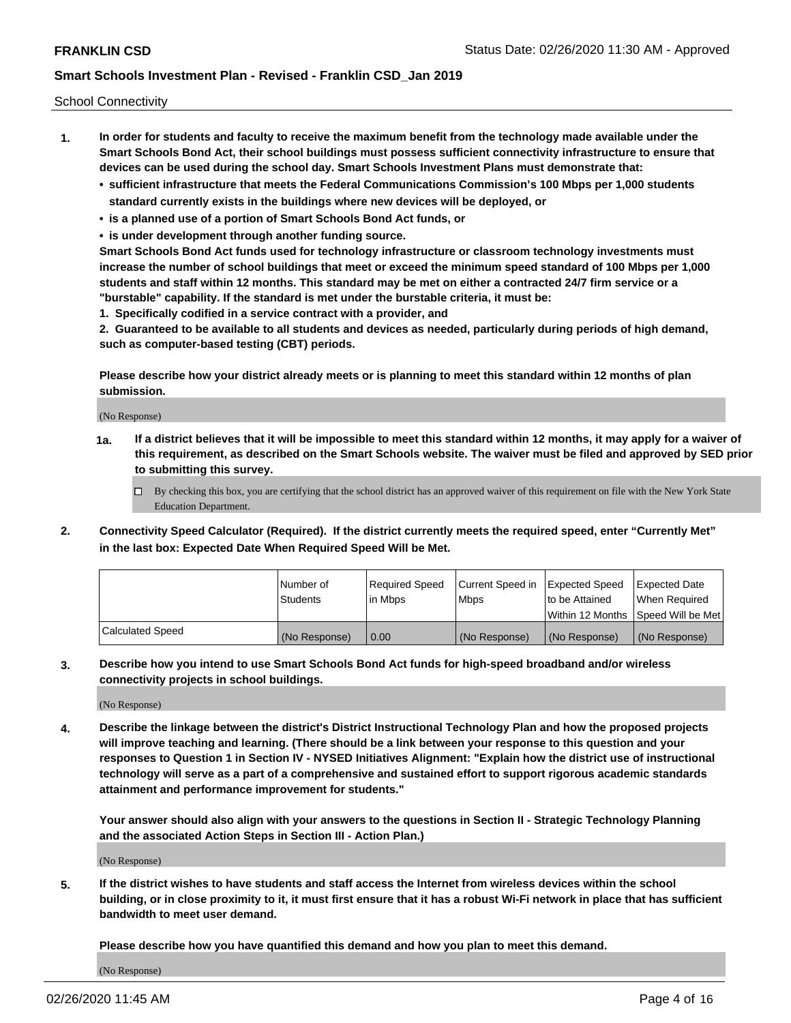School Connectivity

- **1. In order for students and faculty to receive the maximum benefit from the technology made available under the Smart Schools Bond Act, their school buildings must possess sufficient connectivity infrastructure to ensure that devices can be used during the school day. Smart Schools Investment Plans must demonstrate that:**
	- **• sufficient infrastructure that meets the Federal Communications Commission's 100 Mbps per 1,000 students standard currently exists in the buildings where new devices will be deployed, or**
	- **• is a planned use of a portion of Smart Schools Bond Act funds, or**
	- **• is under development through another funding source.**

**Smart Schools Bond Act funds used for technology infrastructure or classroom technology investments must increase the number of school buildings that meet or exceed the minimum speed standard of 100 Mbps per 1,000 students and staff within 12 months. This standard may be met on either a contracted 24/7 firm service or a "burstable" capability. If the standard is met under the burstable criteria, it must be:**

**1. Specifically codified in a service contract with a provider, and**

**2. Guaranteed to be available to all students and devices as needed, particularly during periods of high demand, such as computer-based testing (CBT) periods.**

**Please describe how your district already meets or is planning to meet this standard within 12 months of plan submission.**

(No Response)

**1a. If a district believes that it will be impossible to meet this standard within 12 months, it may apply for a waiver of this requirement, as described on the Smart Schools website. The waiver must be filed and approved by SED prior to submitting this survey.**

 $\Box$  By checking this box, you are certifying that the school district has an approved waiver of this requirement on file with the New York State Education Department.

**2. Connectivity Speed Calculator (Required). If the district currently meets the required speed, enter "Currently Met" in the last box: Expected Date When Required Speed Will be Met.**

|                  | l Number of     | Required Speed | Current Speed in | Expected Speed | Expected Date                        |
|------------------|-----------------|----------------|------------------|----------------|--------------------------------------|
|                  | <b>Students</b> | In Mbps        | <b>Mbps</b>      | to be Attained | When Required                        |
|                  |                 |                |                  |                | Within 12 Months 1Speed Will be Met1 |
| Calculated Speed | (No Response)   | 0.00           | (No Response)    | (No Response)  | l (No Response)                      |

**3. Describe how you intend to use Smart Schools Bond Act funds for high-speed broadband and/or wireless connectivity projects in school buildings.**

(No Response)

**4. Describe the linkage between the district's District Instructional Technology Plan and how the proposed projects will improve teaching and learning. (There should be a link between your response to this question and your responses to Question 1 in Section IV - NYSED Initiatives Alignment: "Explain how the district use of instructional technology will serve as a part of a comprehensive and sustained effort to support rigorous academic standards attainment and performance improvement for students."** 

**Your answer should also align with your answers to the questions in Section II - Strategic Technology Planning and the associated Action Steps in Section III - Action Plan.)**

(No Response)

**5. If the district wishes to have students and staff access the Internet from wireless devices within the school building, or in close proximity to it, it must first ensure that it has a robust Wi-Fi network in place that has sufficient bandwidth to meet user demand.**

**Please describe how you have quantified this demand and how you plan to meet this demand.**

(No Response)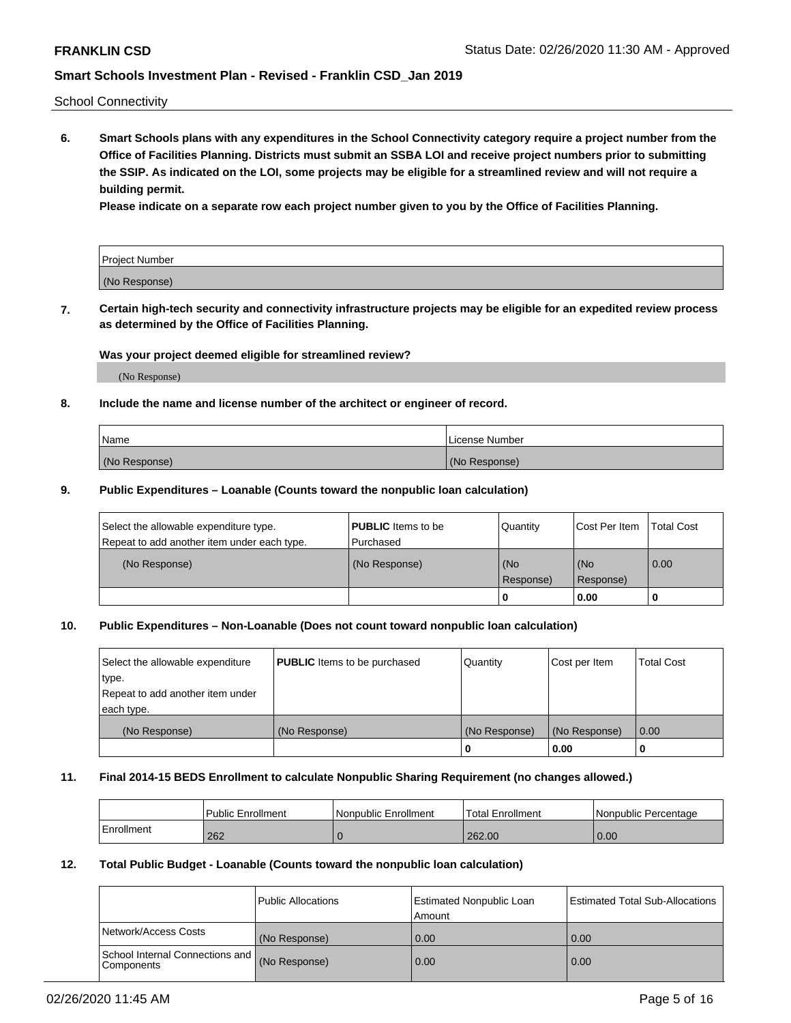School Connectivity

**6. Smart Schools plans with any expenditures in the School Connectivity category require a project number from the Office of Facilities Planning. Districts must submit an SSBA LOI and receive project numbers prior to submitting the SSIP. As indicated on the LOI, some projects may be eligible for a streamlined review and will not require a building permit.**

**Please indicate on a separate row each project number given to you by the Office of Facilities Planning.**

| Project Number |  |
|----------------|--|
| (No Response)  |  |

**7. Certain high-tech security and connectivity infrastructure projects may be eligible for an expedited review process as determined by the Office of Facilities Planning.**

## **Was your project deemed eligible for streamlined review?**

(No Response)

## **8. Include the name and license number of the architect or engineer of record.**

| Name          | License Number |
|---------------|----------------|
| (No Response) | (No Response)  |

### **9. Public Expenditures – Loanable (Counts toward the nonpublic loan calculation)**

| Select the allowable expenditure type.<br>Repeat to add another item under each type. | <b>PUBLIC</b> Items to be<br>l Purchased | Quantity         | l Cost Per Item  | <b>Total Cost</b> |
|---------------------------------------------------------------------------------------|------------------------------------------|------------------|------------------|-------------------|
| (No Response)                                                                         | (No Response)                            | (No<br>Response) | (No<br>Response) | 0.00              |
|                                                                                       |                                          | 0                | 0.00             |                   |

## **10. Public Expenditures – Non-Loanable (Does not count toward nonpublic loan calculation)**

| Select the allowable expenditure<br>type.<br>Repeat to add another item under<br>each type. | <b>PUBLIC</b> Items to be purchased | Quantity      | Cost per Item | <b>Total Cost</b> |
|---------------------------------------------------------------------------------------------|-------------------------------------|---------------|---------------|-------------------|
| (No Response)                                                                               | (No Response)                       | (No Response) | (No Response) | 0.00              |
|                                                                                             |                                     |               | 0.00          |                   |

#### **11. Final 2014-15 BEDS Enrollment to calculate Nonpublic Sharing Requirement (no changes allowed.)**

|            | l Public Enrollment | Nonpublic Enrollment | Total Enrollment | l Nonpublic Percentage |
|------------|---------------------|----------------------|------------------|------------------------|
| Enrollment | 262                 |                      | 262.00           | 0.00                   |

### **12. Total Public Budget - Loanable (Counts toward the nonpublic loan calculation)**

|                                                      | Public Allocations | <b>Estimated Nonpublic Loan</b><br>Amount | Estimated Total Sub-Allocations |
|------------------------------------------------------|--------------------|-------------------------------------------|---------------------------------|
| Network/Access Costs                                 | (No Response)      | 0.00                                      | 0.00                            |
| School Internal Connections and<br><b>Components</b> | (No Response)      | 0.00                                      | 0.00                            |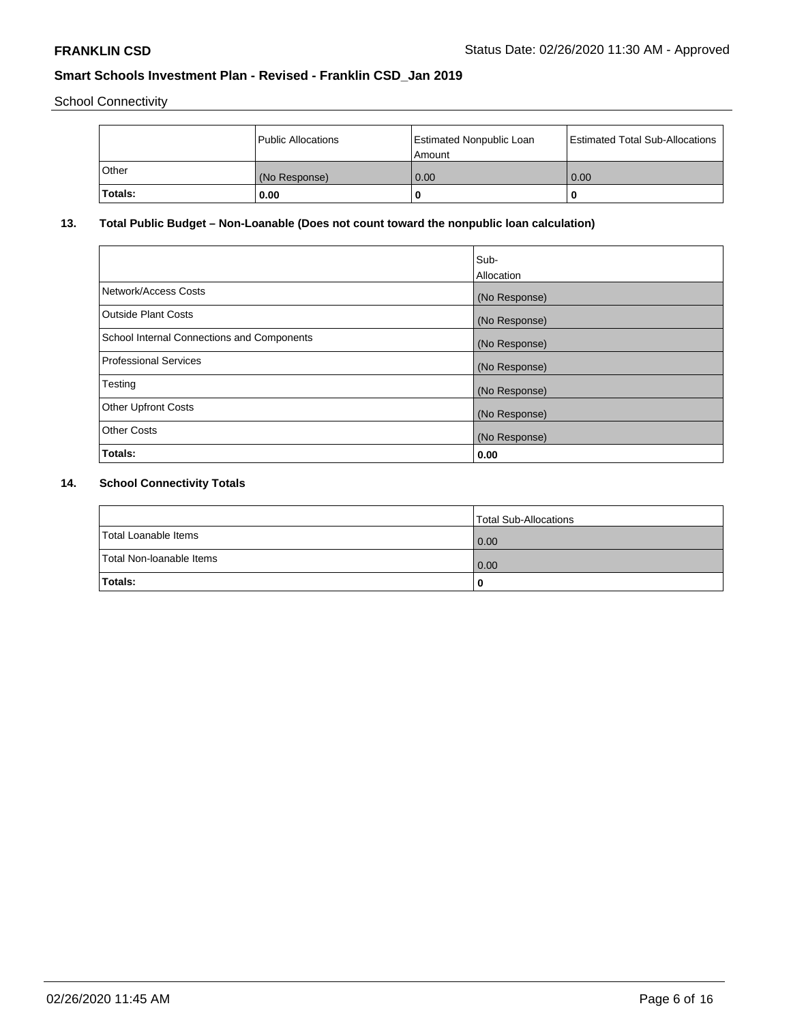School Connectivity

|                | Public Allocations | <b>Estimated Nonpublic Loan</b><br>l Amount | <b>Estimated Total Sub-Allocations</b> |
|----------------|--------------------|---------------------------------------------|----------------------------------------|
| l Other        | (No Response)      | 0.00                                        | 0.00                                   |
| <b>Totals:</b> | 0.00               | 0                                           |                                        |

# **13. Total Public Budget – Non-Loanable (Does not count toward the nonpublic loan calculation)**

| Sub-<br>Allocation |
|--------------------|
| (No Response)      |
| (No Response)      |
| (No Response)      |
| (No Response)      |
| (No Response)      |
| (No Response)      |
| (No Response)      |
| 0.00               |
|                    |

# **14. School Connectivity Totals**

|                          | Total Sub-Allocations |
|--------------------------|-----------------------|
| Total Loanable Items     | 0.00                  |
| Total Non-Ioanable Items | 0.00                  |
| Totals:                  | 0                     |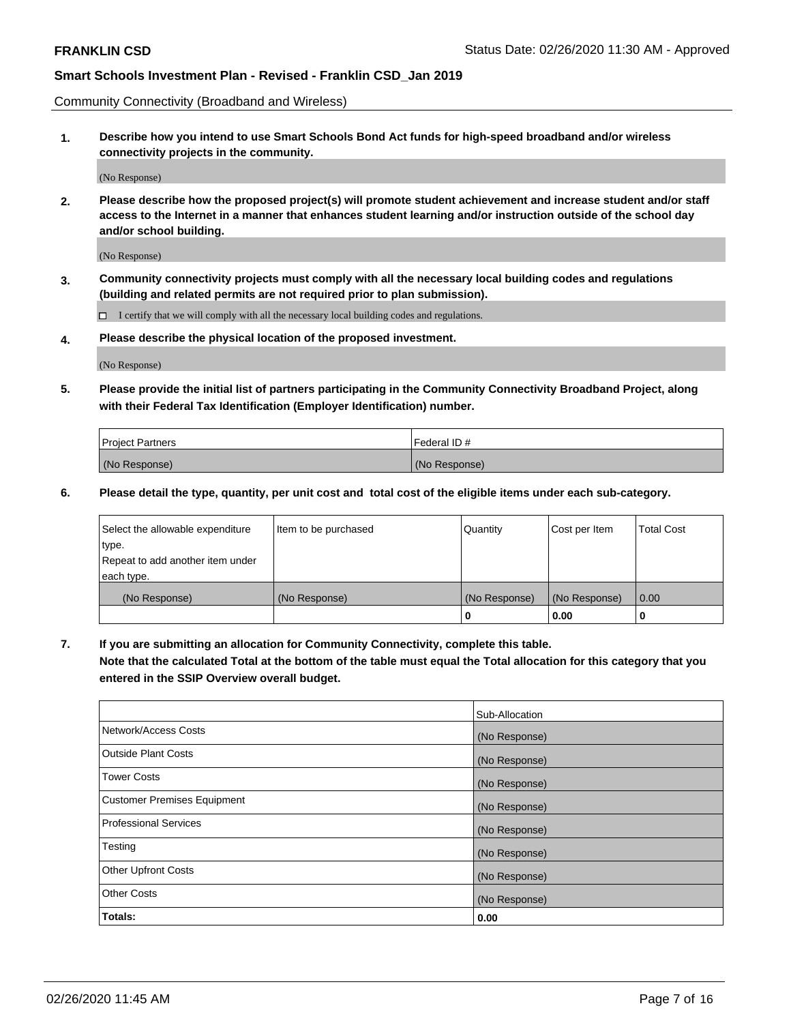Community Connectivity (Broadband and Wireless)

**1. Describe how you intend to use Smart Schools Bond Act funds for high-speed broadband and/or wireless connectivity projects in the community.**

(No Response)

**2. Please describe how the proposed project(s) will promote student achievement and increase student and/or staff access to the Internet in a manner that enhances student learning and/or instruction outside of the school day and/or school building.**

(No Response)

**3. Community connectivity projects must comply with all the necessary local building codes and regulations (building and related permits are not required prior to plan submission).**

 $\Box$  I certify that we will comply with all the necessary local building codes and regulations.

**4. Please describe the physical location of the proposed investment.**

(No Response)

**5. Please provide the initial list of partners participating in the Community Connectivity Broadband Project, along with their Federal Tax Identification (Employer Identification) number.**

| <b>Project Partners</b> | l Federal ID # |
|-------------------------|----------------|
| (No Response)           | (No Response)  |

**6. Please detail the type, quantity, per unit cost and total cost of the eligible items under each sub-category.**

| Select the allowable expenditure | Item to be purchased | Quantity      | Cost per Item | <b>Total Cost</b> |
|----------------------------------|----------------------|---------------|---------------|-------------------|
| type.                            |                      |               |               |                   |
| Repeat to add another item under |                      |               |               |                   |
| each type.                       |                      |               |               |                   |
| (No Response)                    | (No Response)        | (No Response) | (No Response) | 0.00              |
|                                  |                      | o             | 0.00          |                   |

**7. If you are submitting an allocation for Community Connectivity, complete this table.**

**Note that the calculated Total at the bottom of the table must equal the Total allocation for this category that you entered in the SSIP Overview overall budget.**

|                                    | Sub-Allocation |
|------------------------------------|----------------|
| Network/Access Costs               | (No Response)  |
| Outside Plant Costs                | (No Response)  |
| <b>Tower Costs</b>                 | (No Response)  |
| <b>Customer Premises Equipment</b> | (No Response)  |
| <b>Professional Services</b>       | (No Response)  |
| Testing                            | (No Response)  |
| <b>Other Upfront Costs</b>         | (No Response)  |
| <b>Other Costs</b>                 | (No Response)  |
| Totals:                            | 0.00           |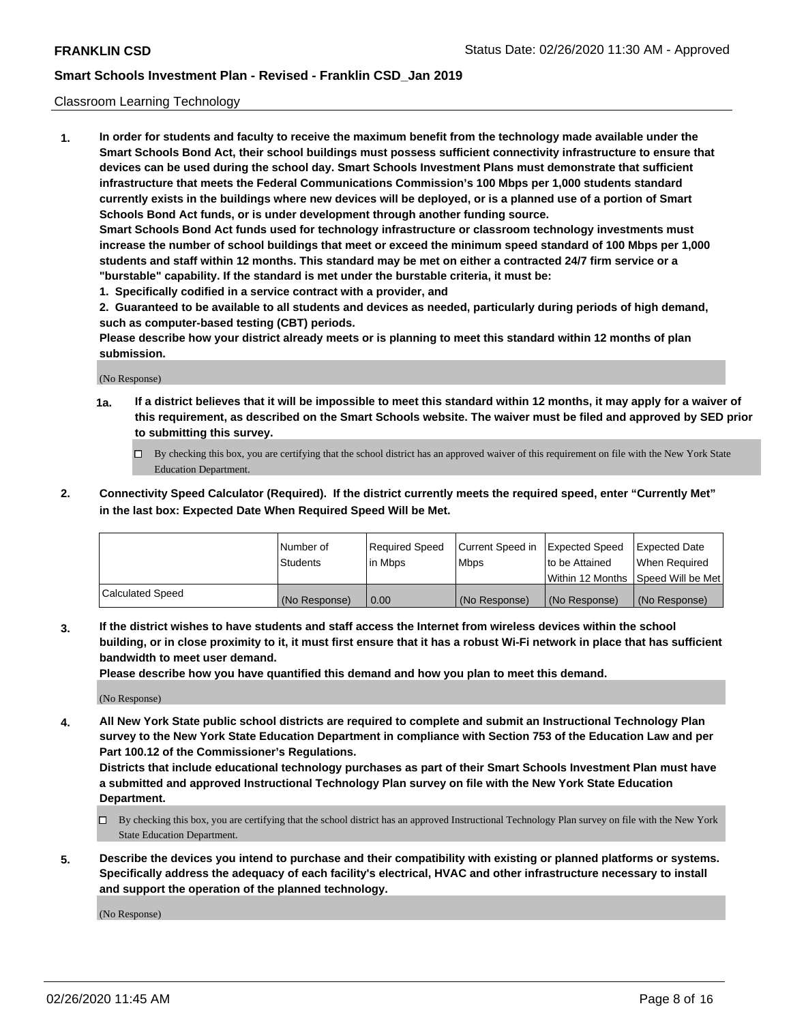### Classroom Learning Technology

**1. In order for students and faculty to receive the maximum benefit from the technology made available under the Smart Schools Bond Act, their school buildings must possess sufficient connectivity infrastructure to ensure that devices can be used during the school day. Smart Schools Investment Plans must demonstrate that sufficient infrastructure that meets the Federal Communications Commission's 100 Mbps per 1,000 students standard currently exists in the buildings where new devices will be deployed, or is a planned use of a portion of Smart Schools Bond Act funds, or is under development through another funding source. Smart Schools Bond Act funds used for technology infrastructure or classroom technology investments must increase the number of school buildings that meet or exceed the minimum speed standard of 100 Mbps per 1,000 students and staff within 12 months. This standard may be met on either a contracted 24/7 firm service or a**

- **"burstable" capability. If the standard is met under the burstable criteria, it must be:**
- **1. Specifically codified in a service contract with a provider, and**

**2. Guaranteed to be available to all students and devices as needed, particularly during periods of high demand, such as computer-based testing (CBT) periods.**

**Please describe how your district already meets or is planning to meet this standard within 12 months of plan submission.**

(No Response)

- **1a. If a district believes that it will be impossible to meet this standard within 12 months, it may apply for a waiver of this requirement, as described on the Smart Schools website. The waiver must be filed and approved by SED prior to submitting this survey.**
	- By checking this box, you are certifying that the school district has an approved waiver of this requirement on file with the New York State Education Department.
- **2. Connectivity Speed Calculator (Required). If the district currently meets the required speed, enter "Currently Met" in the last box: Expected Date When Required Speed Will be Met.**

|                  | l Number of     | Required Speed | Current Speed in | <b>Expected Speed</b> | <b>Expected Date</b>                |
|------------------|-----------------|----------------|------------------|-----------------------|-------------------------------------|
|                  | <b>Students</b> | l in Mbps      | l Mbps           | to be Attained        | When Required                       |
|                  |                 |                |                  |                       | Within 12 Months  Speed Will be Met |
| Calculated Speed | (No Response)   | 0.00           | (No Response)    | l (No Response)       | (No Response)                       |

**3. If the district wishes to have students and staff access the Internet from wireless devices within the school building, or in close proximity to it, it must first ensure that it has a robust Wi-Fi network in place that has sufficient bandwidth to meet user demand.**

**Please describe how you have quantified this demand and how you plan to meet this demand.**

(No Response)

**4. All New York State public school districts are required to complete and submit an Instructional Technology Plan survey to the New York State Education Department in compliance with Section 753 of the Education Law and per Part 100.12 of the Commissioner's Regulations.**

**Districts that include educational technology purchases as part of their Smart Schools Investment Plan must have a submitted and approved Instructional Technology Plan survey on file with the New York State Education Department.**

- By checking this box, you are certifying that the school district has an approved Instructional Technology Plan survey on file with the New York State Education Department.
- **5. Describe the devices you intend to purchase and their compatibility with existing or planned platforms or systems. Specifically address the adequacy of each facility's electrical, HVAC and other infrastructure necessary to install and support the operation of the planned technology.**

(No Response)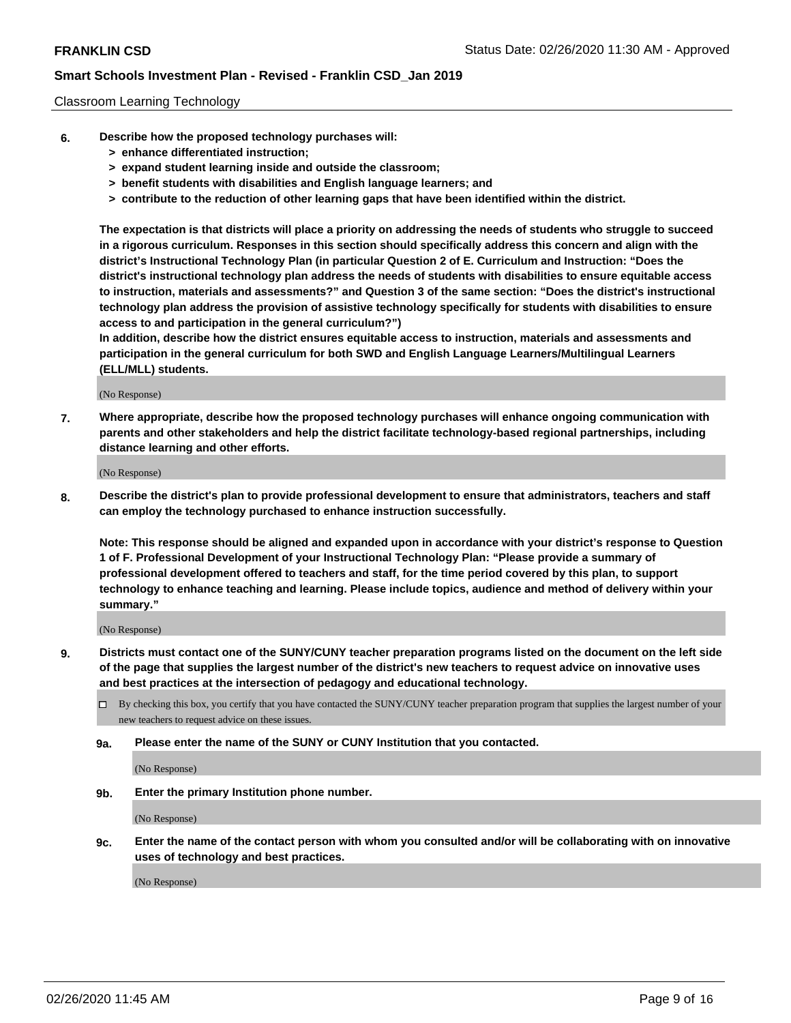### Classroom Learning Technology

- **6. Describe how the proposed technology purchases will:**
	- **> enhance differentiated instruction;**
	- **> expand student learning inside and outside the classroom;**
	- **> benefit students with disabilities and English language learners; and**
	- **> contribute to the reduction of other learning gaps that have been identified within the district.**

**The expectation is that districts will place a priority on addressing the needs of students who struggle to succeed in a rigorous curriculum. Responses in this section should specifically address this concern and align with the district's Instructional Technology Plan (in particular Question 2 of E. Curriculum and Instruction: "Does the district's instructional technology plan address the needs of students with disabilities to ensure equitable access to instruction, materials and assessments?" and Question 3 of the same section: "Does the district's instructional technology plan address the provision of assistive technology specifically for students with disabilities to ensure access to and participation in the general curriculum?")**

**In addition, describe how the district ensures equitable access to instruction, materials and assessments and participation in the general curriculum for both SWD and English Language Learners/Multilingual Learners (ELL/MLL) students.**

(No Response)

**7. Where appropriate, describe how the proposed technology purchases will enhance ongoing communication with parents and other stakeholders and help the district facilitate technology-based regional partnerships, including distance learning and other efforts.**

(No Response)

**8. Describe the district's plan to provide professional development to ensure that administrators, teachers and staff can employ the technology purchased to enhance instruction successfully.**

**Note: This response should be aligned and expanded upon in accordance with your district's response to Question 1 of F. Professional Development of your Instructional Technology Plan: "Please provide a summary of professional development offered to teachers and staff, for the time period covered by this plan, to support technology to enhance teaching and learning. Please include topics, audience and method of delivery within your summary."**

(No Response)

- **9. Districts must contact one of the SUNY/CUNY teacher preparation programs listed on the document on the left side of the page that supplies the largest number of the district's new teachers to request advice on innovative uses and best practices at the intersection of pedagogy and educational technology.**
	- By checking this box, you certify that you have contacted the SUNY/CUNY teacher preparation program that supplies the largest number of your new teachers to request advice on these issues.
	- **9a. Please enter the name of the SUNY or CUNY Institution that you contacted.**

(No Response)

**9b. Enter the primary Institution phone number.**

(No Response)

**9c. Enter the name of the contact person with whom you consulted and/or will be collaborating with on innovative uses of technology and best practices.**

(No Response)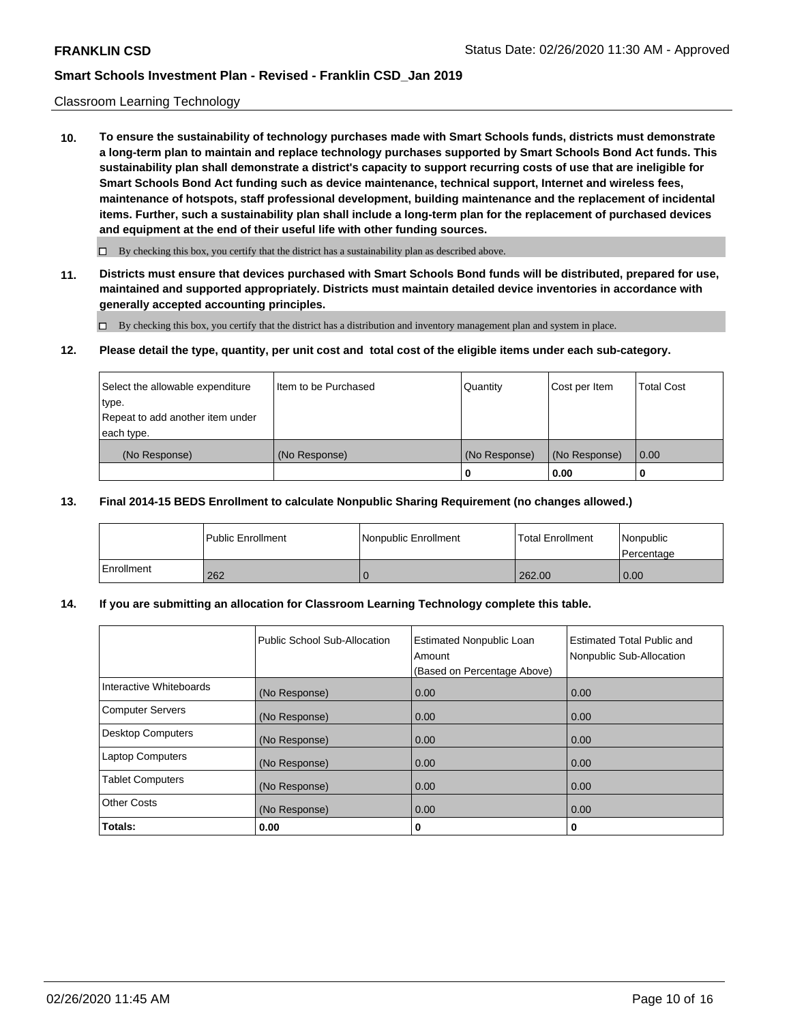### Classroom Learning Technology

**10. To ensure the sustainability of technology purchases made with Smart Schools funds, districts must demonstrate a long-term plan to maintain and replace technology purchases supported by Smart Schools Bond Act funds. This sustainability plan shall demonstrate a district's capacity to support recurring costs of use that are ineligible for Smart Schools Bond Act funding such as device maintenance, technical support, Internet and wireless fees, maintenance of hotspots, staff professional development, building maintenance and the replacement of incidental items. Further, such a sustainability plan shall include a long-term plan for the replacement of purchased devices and equipment at the end of their useful life with other funding sources.**

 $\Box$  By checking this box, you certify that the district has a sustainability plan as described above.

**11. Districts must ensure that devices purchased with Smart Schools Bond funds will be distributed, prepared for use, maintained and supported appropriately. Districts must maintain detailed device inventories in accordance with generally accepted accounting principles.**

By checking this box, you certify that the district has a distribution and inventory management plan and system in place.

### **12. Please detail the type, quantity, per unit cost and total cost of the eligible items under each sub-category.**

| Select the allowable expenditure<br>type.<br>Repeat to add another item under | Item to be Purchased | Quantity      | Cost per Item | <b>Total Cost</b> |
|-------------------------------------------------------------------------------|----------------------|---------------|---------------|-------------------|
| each type.<br>(No Response)                                                   | (No Response)        | (No Response) | (No Response) | 0.00              |
|                                                                               |                      | 0             | 0.00          |                   |

### **13. Final 2014-15 BEDS Enrollment to calculate Nonpublic Sharing Requirement (no changes allowed.)**

|              | l Public Enrollment | Nonpublic Enrollment | <b>Total Enrollment</b> | Nonpublic<br>l Percentage |
|--------------|---------------------|----------------------|-------------------------|---------------------------|
| l Enrollment | 262                 |                      | 262.00                  | 0.00                      |

## **14. If you are submitting an allocation for Classroom Learning Technology complete this table.**

|                         | Public School Sub-Allocation | <b>Estimated Nonpublic Loan</b><br>Amount<br>(Based on Percentage Above) | Estimated Total Public and<br>Nonpublic Sub-Allocation |
|-------------------------|------------------------------|--------------------------------------------------------------------------|--------------------------------------------------------|
| Interactive Whiteboards | (No Response)                | 0.00                                                                     | 0.00                                                   |
| Computer Servers        | (No Response)                | 0.00                                                                     | 0.00                                                   |
| Desktop Computers       | (No Response)                | 0.00                                                                     | 0.00                                                   |
| <b>Laptop Computers</b> | (No Response)                | 0.00                                                                     | 0.00                                                   |
| <b>Tablet Computers</b> | (No Response)                | 0.00                                                                     | 0.00                                                   |
| <b>Other Costs</b>      | (No Response)                | 0.00                                                                     | 0.00                                                   |
| Totals:                 | 0.00                         | 0                                                                        | 0                                                      |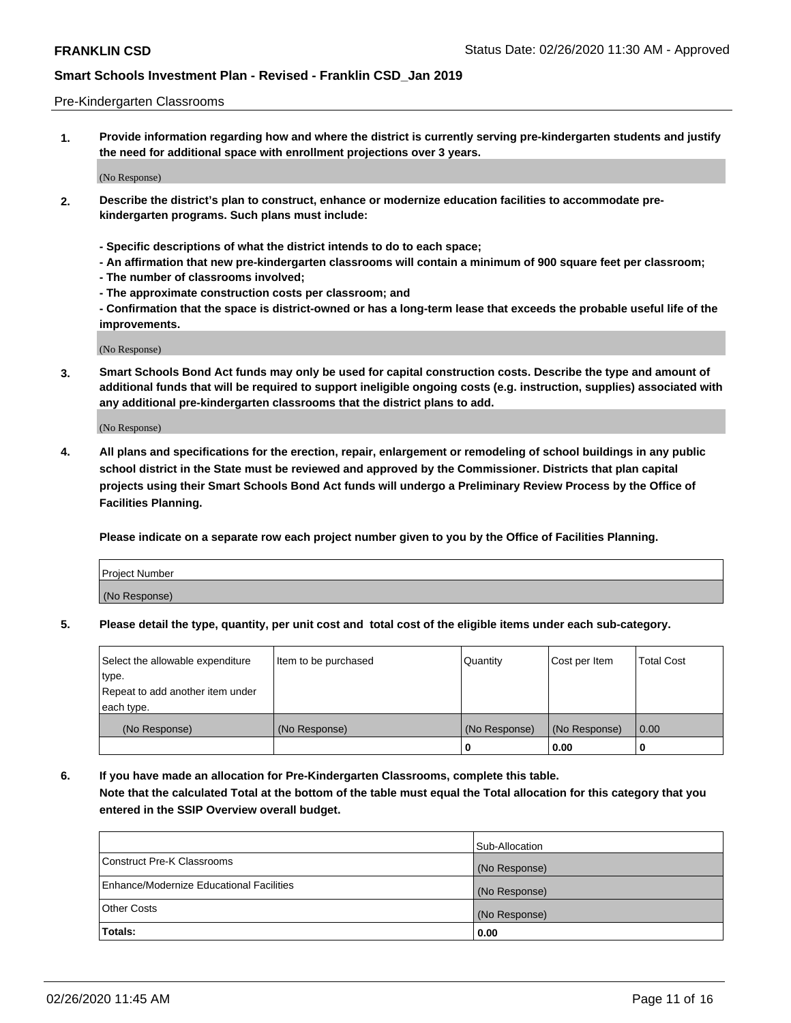### Pre-Kindergarten Classrooms

**1. Provide information regarding how and where the district is currently serving pre-kindergarten students and justify the need for additional space with enrollment projections over 3 years.**

(No Response)

- **2. Describe the district's plan to construct, enhance or modernize education facilities to accommodate prekindergarten programs. Such plans must include:**
	- **Specific descriptions of what the district intends to do to each space;**
	- **An affirmation that new pre-kindergarten classrooms will contain a minimum of 900 square feet per classroom;**
	- **The number of classrooms involved;**
	- **The approximate construction costs per classroom; and**
	- **Confirmation that the space is district-owned or has a long-term lease that exceeds the probable useful life of the improvements.**

(No Response)

**3. Smart Schools Bond Act funds may only be used for capital construction costs. Describe the type and amount of additional funds that will be required to support ineligible ongoing costs (e.g. instruction, supplies) associated with any additional pre-kindergarten classrooms that the district plans to add.**

(No Response)

**4. All plans and specifications for the erection, repair, enlargement or remodeling of school buildings in any public school district in the State must be reviewed and approved by the Commissioner. Districts that plan capital projects using their Smart Schools Bond Act funds will undergo a Preliminary Review Process by the Office of Facilities Planning.**

**Please indicate on a separate row each project number given to you by the Office of Facilities Planning.**

| Project Number |  |
|----------------|--|
| (No Response)  |  |
|                |  |

**5. Please detail the type, quantity, per unit cost and total cost of the eligible items under each sub-category.**

| Select the allowable expenditure | Item to be purchased | Quantity      | Cost per Item | <b>Total Cost</b> |
|----------------------------------|----------------------|---------------|---------------|-------------------|
| type.                            |                      |               |               |                   |
| Repeat to add another item under |                      |               |               |                   |
| each type.                       |                      |               |               |                   |
| (No Response)                    | (No Response)        | (No Response) | (No Response) | 0.00              |
|                                  |                      | U             | 0.00          |                   |

**6. If you have made an allocation for Pre-Kindergarten Classrooms, complete this table. Note that the calculated Total at the bottom of the table must equal the Total allocation for this category that you entered in the SSIP Overview overall budget.**

|                                          | Sub-Allocation |
|------------------------------------------|----------------|
| Construct Pre-K Classrooms               | (No Response)  |
| Enhance/Modernize Educational Facilities | (No Response)  |
| <b>Other Costs</b>                       | (No Response)  |
| Totals:                                  | 0.00           |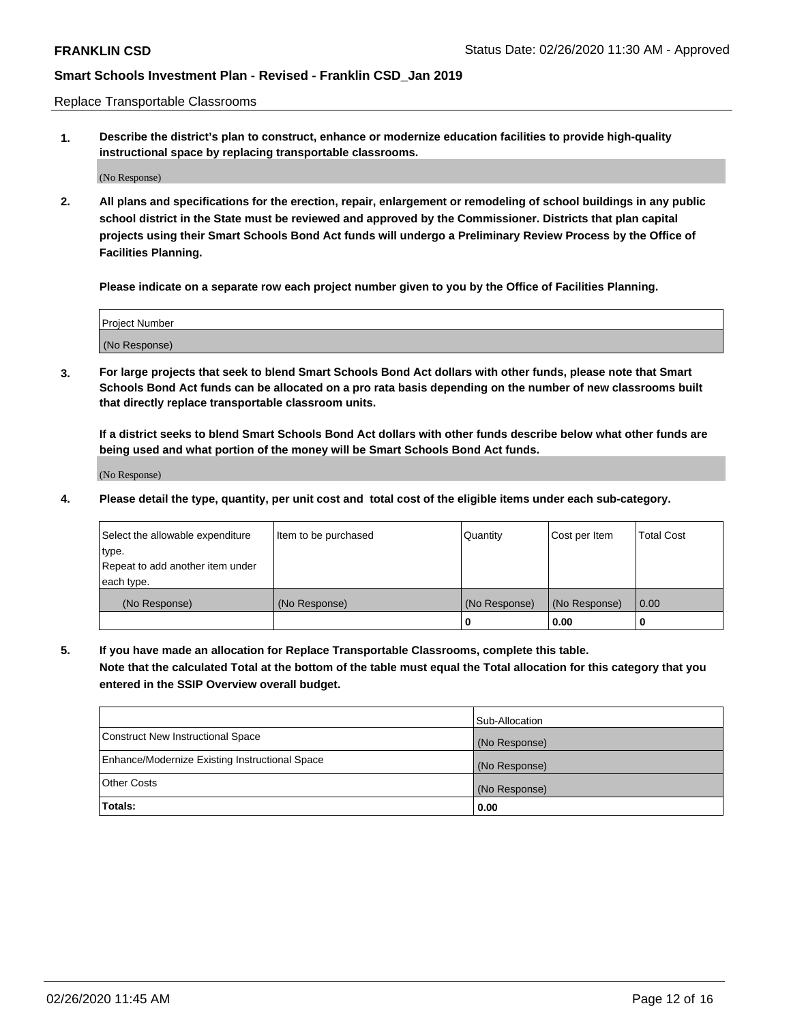Replace Transportable Classrooms

**1. Describe the district's plan to construct, enhance or modernize education facilities to provide high-quality instructional space by replacing transportable classrooms.**

(No Response)

**2. All plans and specifications for the erection, repair, enlargement or remodeling of school buildings in any public school district in the State must be reviewed and approved by the Commissioner. Districts that plan capital projects using their Smart Schools Bond Act funds will undergo a Preliminary Review Process by the Office of Facilities Planning.**

**Please indicate on a separate row each project number given to you by the Office of Facilities Planning.**

| Project Number |  |
|----------------|--|
|                |  |
|                |  |
|                |  |
|                |  |
| (No Response)  |  |
|                |  |
|                |  |
|                |  |

**3. For large projects that seek to blend Smart Schools Bond Act dollars with other funds, please note that Smart Schools Bond Act funds can be allocated on a pro rata basis depending on the number of new classrooms built that directly replace transportable classroom units.**

**If a district seeks to blend Smart Schools Bond Act dollars with other funds describe below what other funds are being used and what portion of the money will be Smart Schools Bond Act funds.**

(No Response)

**4. Please detail the type, quantity, per unit cost and total cost of the eligible items under each sub-category.**

| Select the allowable expenditure | Item to be purchased | Quantity      | Cost per Item | Total Cost |
|----------------------------------|----------------------|---------------|---------------|------------|
| ∣type.                           |                      |               |               |            |
| Repeat to add another item under |                      |               |               |            |
| each type.                       |                      |               |               |            |
| (No Response)                    | (No Response)        | (No Response) | (No Response) | 0.00       |
|                                  |                      | u             | 0.00          |            |

**5. If you have made an allocation for Replace Transportable Classrooms, complete this table. Note that the calculated Total at the bottom of the table must equal the Total allocation for this category that you entered in the SSIP Overview overall budget.**

|                                                | Sub-Allocation |
|------------------------------------------------|----------------|
| Construct New Instructional Space              | (No Response)  |
| Enhance/Modernize Existing Instructional Space | (No Response)  |
| Other Costs                                    | (No Response)  |
| Totals:                                        | 0.00           |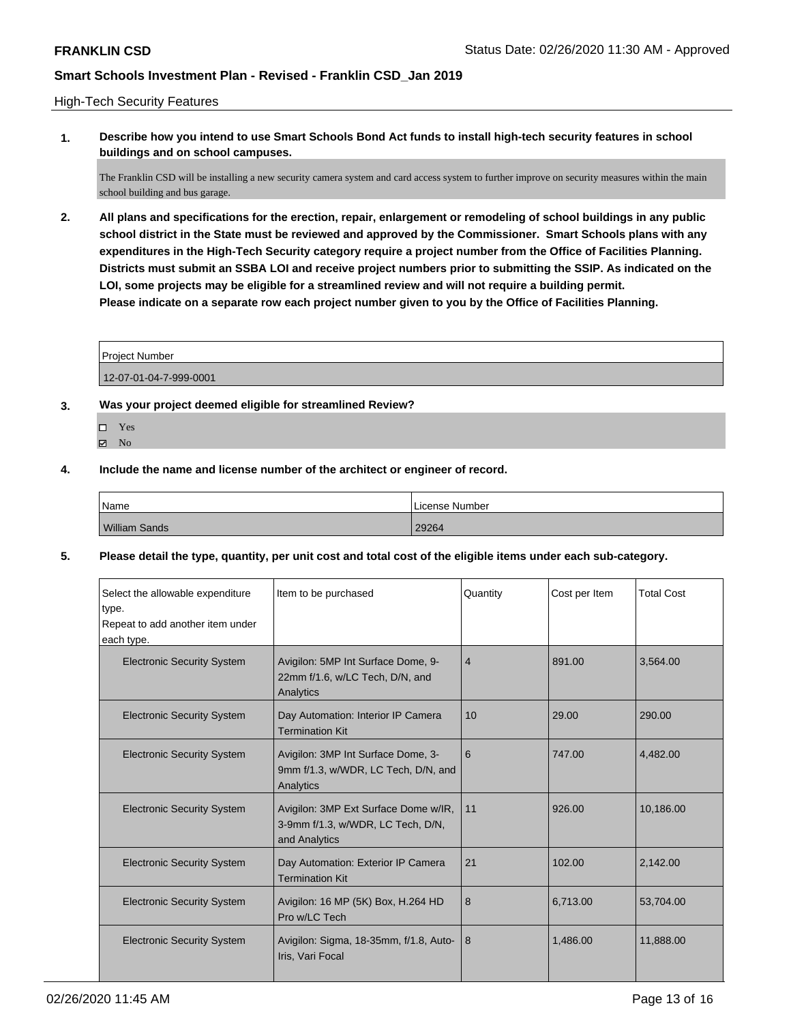## High-Tech Security Features

**1. Describe how you intend to use Smart Schools Bond Act funds to install high-tech security features in school buildings and on school campuses.**

The Franklin CSD will be installing a new security camera system and card access system to further improve on security measures within the main school building and bus garage.

**2. All plans and specifications for the erection, repair, enlargement or remodeling of school buildings in any public school district in the State must be reviewed and approved by the Commissioner. Smart Schools plans with any expenditures in the High-Tech Security category require a project number from the Office of Facilities Planning. Districts must submit an SSBA LOI and receive project numbers prior to submitting the SSIP. As indicated on the LOI, some projects may be eligible for a streamlined review and will not require a building permit. Please indicate on a separate row each project number given to you by the Office of Facilities Planning.**

| Project Number |  |  |  |
|----------------|--|--|--|

12-07-01-04-7-999-0001

- **3. Was your project deemed eligible for streamlined Review?**
	- Yes
	- $\boxtimes$  No
- **4. Include the name and license number of the architect or engineer of record.**

| Name          | License Number |
|---------------|----------------|
| William Sands | 29264          |

**5. Please detail the type, quantity, per unit cost and total cost of the eligible items under each sub-category.**

| Select the allowable expenditure<br>type.<br>Repeat to add another item under<br>each type. | Item to be purchased                                                                       | Quantity       | Cost per Item | <b>Total Cost</b> |
|---------------------------------------------------------------------------------------------|--------------------------------------------------------------------------------------------|----------------|---------------|-------------------|
| <b>Electronic Security System</b>                                                           | Avigilon: 5MP Int Surface Dome, 9-<br>22mm f/1.6, w/LC Tech, D/N, and<br>Analytics         | $\overline{4}$ | 891.00        | 3,564.00          |
| <b>Electronic Security System</b>                                                           | Day Automation: Interior IP Camera<br><b>Termination Kit</b>                               | 10             | 29.00         | 290.00            |
| <b>Electronic Security System</b>                                                           | Avigilon: 3MP Int Surface Dome, 3-<br>9mm f/1.3, w/WDR, LC Tech, D/N, and<br>Analytics     | 6              | 747.00        | 4,482.00          |
| <b>Electronic Security System</b>                                                           | Avigilon: 3MP Ext Surface Dome w/IR,<br>3-9mm f/1.3, w/WDR, LC Tech, D/N,<br>and Analytics | 11             | 926.00        | 10.186.00         |
| <b>Electronic Security System</b>                                                           | Day Automation: Exterior IP Camera<br><b>Termination Kit</b>                               | 21             | 102.00        | 2,142.00          |
| <b>Electronic Security System</b>                                                           | Avigilon: 16 MP (5K) Box, H.264 HD<br>Pro w/LC Tech                                        | 8              | 6,713.00      | 53,704.00         |
| <b>Electronic Security System</b>                                                           | Avigilon: Sigma, 18-35mm, f/1.8, Auto-<br>Iris, Vari Focal                                 | 8              | 1.486.00      | 11,888.00         |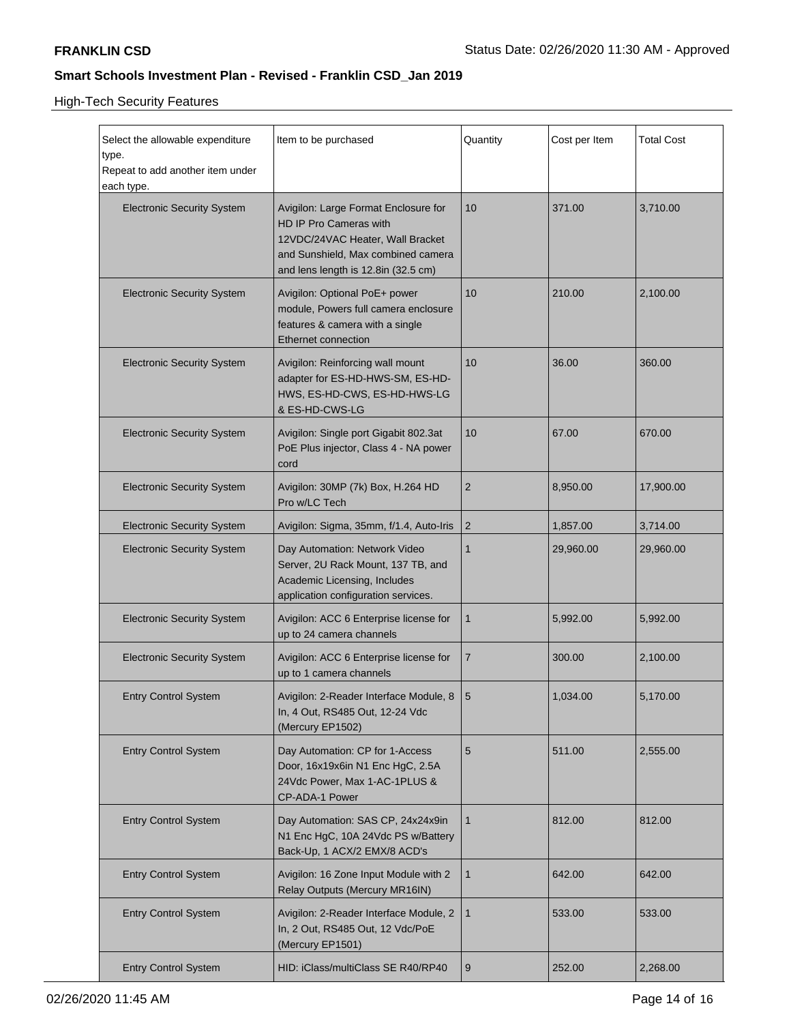High-Tech Security Features

| Select the allowable expenditure<br>type.      | Item to be purchased                                                                                                                                                            | Quantity       | Cost per Item | <b>Total Cost</b> |
|------------------------------------------------|---------------------------------------------------------------------------------------------------------------------------------------------------------------------------------|----------------|---------------|-------------------|
| Repeat to add another item under<br>each type. |                                                                                                                                                                                 |                |               |                   |
| <b>Electronic Security System</b>              | Avigilon: Large Format Enclosure for<br>HD IP Pro Cameras with<br>12VDC/24VAC Heater, Wall Bracket<br>and Sunshield, Max combined camera<br>and lens length is 12.8in (32.5 cm) | 10             | 371.00        | 3,710.00          |
| <b>Electronic Security System</b>              | Avigilon: Optional PoE+ power<br>module, Powers full camera enclosure<br>features & camera with a single<br>Ethernet connection                                                 | 10             | 210.00        | 2,100.00          |
| <b>Electronic Security System</b>              | Avigilon: Reinforcing wall mount<br>adapter for ES-HD-HWS-SM, ES-HD-<br>HWS, ES-HD-CWS, ES-HD-HWS-LG<br>& ES-HD-CWS-LG                                                          | 10             | 36.00         | 360.00            |
| <b>Electronic Security System</b>              | Avigilon: Single port Gigabit 802.3at<br>PoE Plus injector, Class 4 - NA power<br>cord                                                                                          | 10             | 67.00         | 670.00            |
| <b>Electronic Security System</b>              | Avigilon: 30MP (7k) Box, H.264 HD<br>Pro w/LC Tech                                                                                                                              | $\overline{2}$ | 8,950.00      | 17,900.00         |
| <b>Electronic Security System</b>              | Avigilon: Sigma, 35mm, f/1.4, Auto-Iris                                                                                                                                         | $\sqrt{2}$     | 1,857.00      | 3,714.00          |
| <b>Electronic Security System</b>              | Day Automation: Network Video<br>Server, 2U Rack Mount, 137 TB, and<br>Academic Licensing, Includes<br>application configuration services.                                      | $\mathbf{1}$   | 29,960.00     | 29,960.00         |
| <b>Electronic Security System</b>              | Avigilon: ACC 6 Enterprise license for<br>up to 24 camera channels                                                                                                              | $\mathbf{1}$   | 5,992.00      | 5,992.00          |
| <b>Electronic Security System</b>              | Avigilon: ACC 6 Enterprise license for<br>up to 1 camera channels                                                                                                               | $\sqrt{7}$     | 300.00        | 2,100.00          |
| <b>Entry Control System</b>                    | Avigilon: 2-Reader Interface Module, 8<br>In, 4 Out, RS485 Out, 12-24 Vdc<br>(Mercury EP1502)                                                                                   | 5              | 1,034.00      | 5,170.00          |
| <b>Entry Control System</b>                    | Day Automation: CP for 1-Access<br>Door, 16x19x6in N1 Enc HgC, 2.5A<br>24Vdc Power, Max 1-AC-1PLUS &<br>CP-ADA-1 Power                                                          | 5              | 511.00        | 2,555.00          |
| <b>Entry Control System</b>                    | Day Automation: SAS CP, 24x24x9in<br>N1 Enc HgC, 10A 24Vdc PS w/Battery<br>Back-Up, 1 ACX/2 EMX/8 ACD's                                                                         | $\mathbf{1}$   | 812.00        | 812.00            |
| <b>Entry Control System</b>                    | Avigilon: 16 Zone Input Module with 2<br>Relay Outputs (Mercury MR16IN)                                                                                                         | $\mathbf 1$    | 642.00        | 642.00            |
| <b>Entry Control System</b>                    | Avigilon: 2-Reader Interface Module, 2<br>In, 2 Out, RS485 Out, 12 Vdc/PoE<br>(Mercury EP1501)                                                                                  | $\mathbf{1}$   | 533.00        | 533.00            |
| <b>Entry Control System</b>                    | HID: iClass/multiClass SE R40/RP40                                                                                                                                              | $9\,$          | 252.00        | 2,268.00          |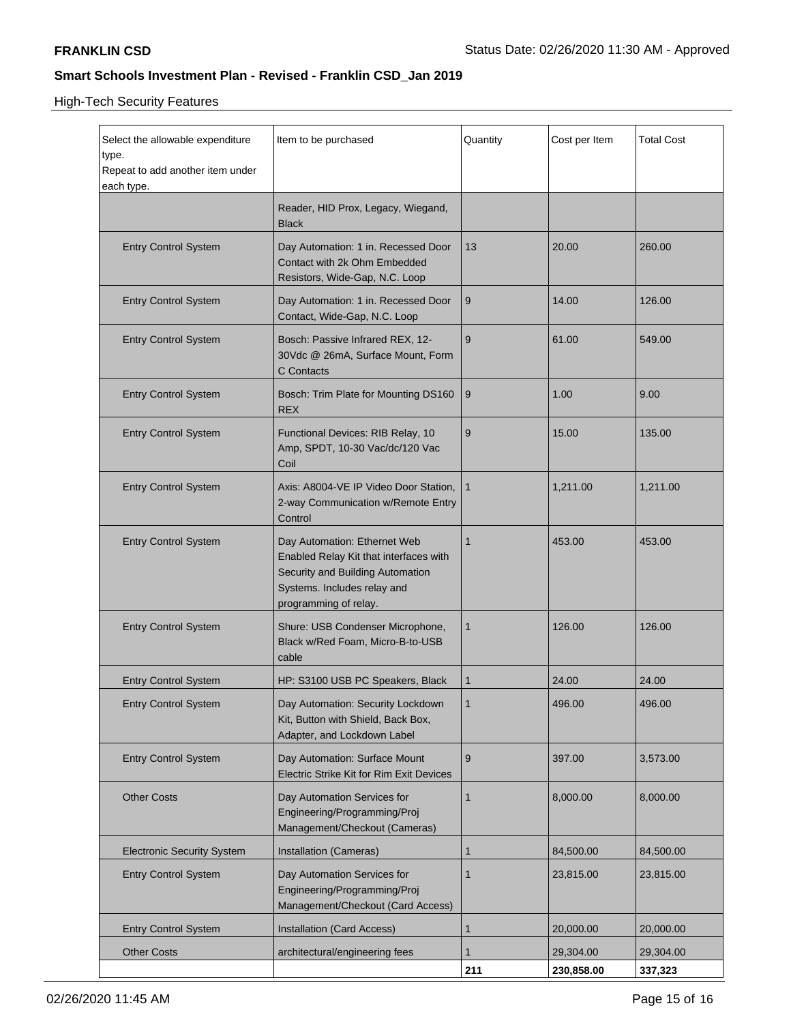High-Tech Security Features

| Select the allowable expenditure<br>type.<br>Repeat to add another item under<br>each type. | Item to be purchased                                                                                                                                               | Quantity     | Cost per Item | <b>Total Cost</b> |
|---------------------------------------------------------------------------------------------|--------------------------------------------------------------------------------------------------------------------------------------------------------------------|--------------|---------------|-------------------|
|                                                                                             | Reader, HID Prox, Legacy, Wiegand,<br><b>Black</b>                                                                                                                 |              |               |                   |
| <b>Entry Control System</b>                                                                 | Day Automation: 1 in. Recessed Door<br>Contact with 2k Ohm Embedded<br>Resistors, Wide-Gap, N.C. Loop                                                              | 13           | 20.00         | 260.00            |
| <b>Entry Control System</b>                                                                 | Day Automation: 1 in. Recessed Door<br>Contact, Wide-Gap, N.C. Loop                                                                                                | 9            | 14.00         | 126.00            |
| <b>Entry Control System</b>                                                                 | Bosch: Passive Infrared REX, 12-<br>30Vdc @ 26mA, Surface Mount, Form<br><b>C</b> Contacts                                                                         | 9            | 61.00         | 549.00            |
| <b>Entry Control System</b>                                                                 | Bosch: Trim Plate for Mounting DS160<br><b>REX</b>                                                                                                                 | 9            | 1.00          | 9.00              |
| <b>Entry Control System</b>                                                                 | Functional Devices: RIB Relay, 10<br>Amp, SPDT, 10-30 Vac/dc/120 Vac<br>Coil                                                                                       | 9            | 15.00         | 135.00            |
| <b>Entry Control System</b>                                                                 | Axis: A8004-VE IP Video Door Station,<br>2-way Communication w/Remote Entry<br>Control                                                                             | $\mathbf{1}$ | 1,211.00      | 1,211.00          |
| <b>Entry Control System</b>                                                                 | Day Automation: Ethernet Web<br>Enabled Relay Kit that interfaces with<br>Security and Building Automation<br>Systems. Includes relay and<br>programming of relay. | 1            | 453.00        | 453.00            |
| <b>Entry Control System</b>                                                                 | Shure: USB Condenser Microphone,<br>Black w/Red Foam, Micro-B-to-USB<br>cable                                                                                      | 1            | 126.00        | 126.00            |
| <b>Entry Control System</b>                                                                 | HP: S3100 USB PC Speakers, Black                                                                                                                                   | 1            | 24.00         | 24.00             |
| <b>Entry Control System</b>                                                                 | Day Automation: Security Lockdown<br>Kit, Button with Shield, Back Box,<br>Adapter, and Lockdown Label                                                             |              | 496.00        | 496.00            |
| <b>Entry Control System</b>                                                                 | Day Automation: Surface Mount<br>Electric Strike Kit for Rim Exit Devices                                                                                          | 9            | 397.00        | 3,573.00          |
| <b>Other Costs</b>                                                                          | Day Automation Services for<br>Engineering/Programming/Proj<br>Management/Checkout (Cameras)                                                                       | 1            | 8,000.00      | 8,000.00          |
| <b>Electronic Security System</b>                                                           | Installation (Cameras)                                                                                                                                             | 1            | 84,500.00     | 84,500.00         |
| <b>Entry Control System</b>                                                                 | Day Automation Services for<br>Engineering/Programming/Proj<br>Management/Checkout (Card Access)                                                                   | 1            | 23,815.00     | 23,815.00         |
| <b>Entry Control System</b>                                                                 | <b>Installation (Card Access)</b>                                                                                                                                  | 1            | 20,000.00     | 20,000.00         |
| <b>Other Costs</b>                                                                          | architectural/engineering fees                                                                                                                                     | 1            | 29,304.00     | 29,304.00         |
|                                                                                             |                                                                                                                                                                    | 211          | 230,858.00    | 337,323           |